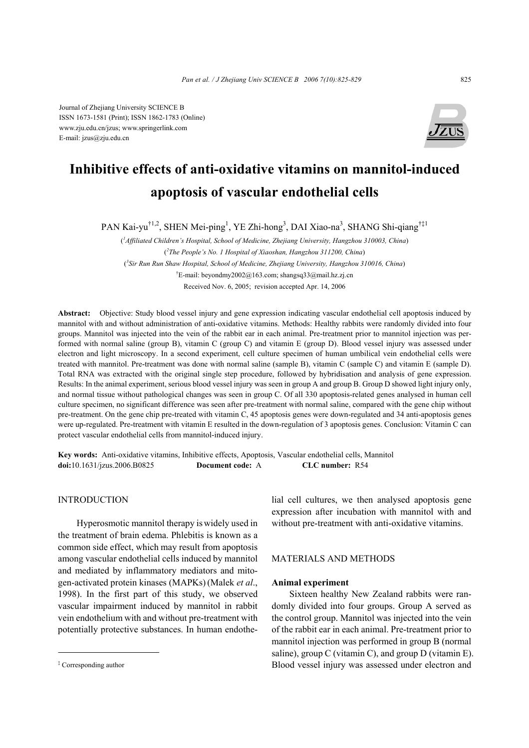Journal of Zhejiang University SCIENCE B ISSN 1673-1581 (Print); ISSN 1862-1783 (Online) www.zju.edu.cn/jzus; www.springerlink.com E-mail: jzus@zju.edu.cn



# **Inhibitive effects of anti-oxidative vitamins on mannitol-induced apoptosis of vascular endothelial cells**

PAN Kai-yu<sup>†1,2</sup>, SHEN Mei-ping<sup>1</sup>, YE Zhi-hong<sup>3</sup>, DAI Xiao-na<sup>3</sup>, SHANG Shi-qiang<sup>†‡1</sup>

( *1 Affiliated Children's Hospital, School of Medicine, Zhejiang University, Hangzhou 310003, China*) ( *2 The People's No. 1 Hospital of Xiaoshan, Hangzhou 311200, China*) ( *3 Sir Run Run Shaw Hospital, School of Medicine, Zhejiang University, Hangzhou 310016, China*) † E-mail: beyondmy2002@163.com; shangsq33@mail.hz.zj.cn Received Nov. 6, 2005; revision accepted Apr. 14, 2006

**Abstract:** Objective: Study blood vessel injury and gene expression indicating vascular endothelial cell apoptosis induced by mannitol with and without administration of anti-oxidative vitamins. Methods: Healthy rabbits were randomly divided into four groups. Mannitol was injected into the vein of the rabbit ear in each animal. Pre-treatment prior to mannitol injection was performed with normal saline (group B), vitamin C (group C) and vitamin E (group D). Blood vessel injury was assessed under electron and light microscopy. In a second experiment, cell culture specimen of human umbilical vein endothelial cells were treated with mannitol. Pre-treatment was done with normal saline (sample B), vitamin C (sample C) and vitamin E (sample D). Total RNA was extracted with the original single step procedure, followed by hybridisation and analysis of gene expression. Results: In the animal experiment, serious blood vessel injury was seen in group A and group B. Group D showed light injury only, and normal tissue without pathological changes was seen in group C. Of all 330 apoptosis-related genes analysed in human cell culture specimen, no significant difference was seen after pre-treatment with normal saline, compared with the gene chip without pre-treatment. On the gene chip pre-treated with vitamin C, 45 apoptosis genes were down-regulated and 34 anti-apoptosis genes were up-regulated. Pre-treatment with vitamin E resulted in the down-regulation of 3 apoptosis genes. Conclusion: Vitamin C can protect vascular endothelial cells from mannitol-induced injury.

**Key words:** Anti-oxidative vitamins, Inhibitive effects, Apoptosis, Vascular endothelial cells, Mannitol **doi:**10.1631/jzus.2006.B0825 **Document code:** A **CLC number:** R54

# INTRODUCTION

Hyperosmotic mannitol therapy iswidely used in the treatment of brain edema. Phlebitis is known as a common side effect, which may result from apoptosis among vascular endothelial cells induced by mannitol and mediated by inflammatory mediators and mitogen-activated protein kinases (MAPKs)(Malek *et al*., 1998). In the first part of this study, we observed vascular impairment induced by mannitol in rabbit vein endothelium with and without pre-treatment with potentially protective substances. In human endothelial cell cultures, we then analysed apoptosis gene expression after incubation with mannitol with and without pre-treatment with anti-oxidative vitamins.

## MATERIALS AND METHODS

## **Animal experiment**

Sixteen healthy New Zealand rabbits were randomly divided into four groups. Group A served as the control group. Mannitol was injected into the vein of the rabbit ear in each animal. Pre-treatment prior to mannitol injection was performed in group B (normal saline), group C (vitamin C), and group D (vitamin E). Blood vessel injury was assessed under electron and

<sup>‡</sup> Corresponding author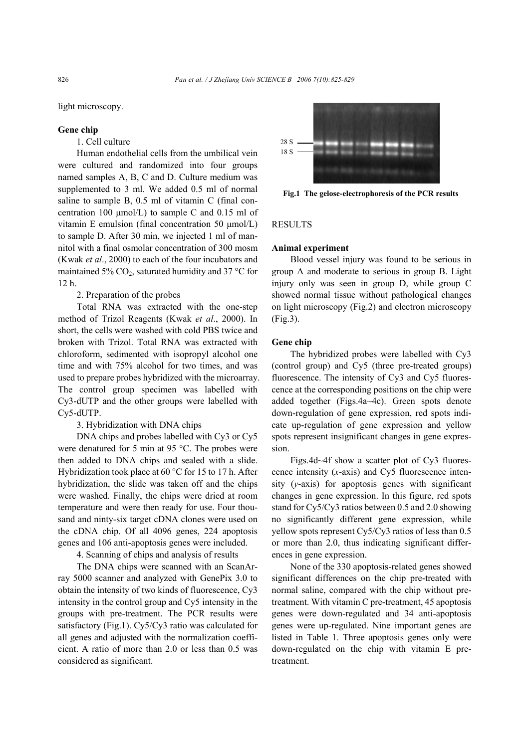light microscopy.

## **Gene chip**

# 1. Cell culture

Human endothelial cells from the umbilical vein were cultured and randomized into four groups named samples A, B, C and D. Culture medium was supplemented to 3 ml. We added 0.5 ml of normal saline to sample B, 0.5 ml of vitamin C (final concentration 100  $\mu$ mol/L) to sample C and 0.15 ml of vitamin E emulsion (final concentration 50  $\mu$ mol/L) to sample D. After 30 min, we injected 1 ml of mannitol with a final osmolar concentration of 300 mosm (Kwak *et al*., 2000) to each of the four incubators and maintained 5%  $CO<sub>2</sub>$ , saturated humidity and 37 °C for 12 h.

# 2. Preparation of the probes

Total RNA was extracted with the one-step method of Trizol Reagents (Kwak *et al*., 2000). In short, the cells were washed with cold PBS twice and broken with Trizol. Total RNA was extracted with chloroform, sedimented with isopropyl alcohol one time and with 75% alcohol for two times, and was used to prepare probes hybridized with the microarray. The control group specimen was labelled with Cy3-dUTP and the other groups were labelled with Cy5-dUTP.

3. Hybridization with DNA chips

DNA chips and probes labelled with Cy3 or Cy5 were denatured for 5 min at 95 °C. The probes were then added to DNA chips and sealed with a slide. Hybridization took place at 60 °C for 15 to 17 h. After hybridization, the slide was taken off and the chips were washed. Finally, the chips were dried at room temperature and were then ready for use. Four thousand and ninty-six target cDNA clones were used on the cDNA chip. Of all 4096 genes, 224 apoptosis genes and 106 anti-apoptosis genes were included.

4. Scanning of chips and analysis of results

The DNA chips were scanned with an ScanArray 5000 scanner and analyzed with GenePix 3.0 to obtain the intensity of two kinds of fluorescence, Cy3 intensity in the control group and Cy5 intensity in the groups with pre-treatment. The PCR results were satisfactory (Fig.1). Cy5/Cy3 ratio was calculated for all genes and adjusted with the normalization coefficient. A ratio of more than 2.0 or less than 0.5 was considered as significant.



**Fig.1 The gelose-electrophoresis of the PCR results**

#### RESULTS

## **Animal experiment**

Blood vessel injury was found to be serious in group A and moderate to serious in group B. Light injury only was seen in group D, while group C showed normal tissue without pathological changes on light microscopy (Fig.2) and electron microscopy (Fig.3).

## **Gene chip**

The hybridized probes were labelled with Cy3 (control group) and Cy5 (three pre-treated groups) fluorescence. The intensity of Cy3 and Cy5 fluorescence at the corresponding positions on the chip were added together (Figs.4a~4c). Green spots denote down-regulation of gene expression, red spots indicate up-regulation of gene expression and yellow spots represent insignificant changes in gene expression.

Figs.4d~4f show a scatter plot of Cy3 fluorescence intensity (*x*-axis) and Cy5 fluorescence intensity (*y*-axis) for apoptosis genes with significant changes in gene expression. In this figure, red spots stand for Cy5/Cy3 ratios between 0.5 and 2.0 showing no significantly different gene expression, while yellow spots represent Cy5/Cy3 ratios of less than 0.5 or more than 2.0, thus indicating significant differences in gene expression.

None of the 330 apoptosis-related genes showed significant differences on the chip pre-treated with normal saline, compared with the chip without pretreatment. With vitamin C pre-treatment, 45 apoptosis genes were down-regulated and 34 anti-apoptosis genes were up-regulated. Nine important genes are listed in Table 1. Three apoptosis genes only were down-regulated on the chip with vitamin E pretreatment.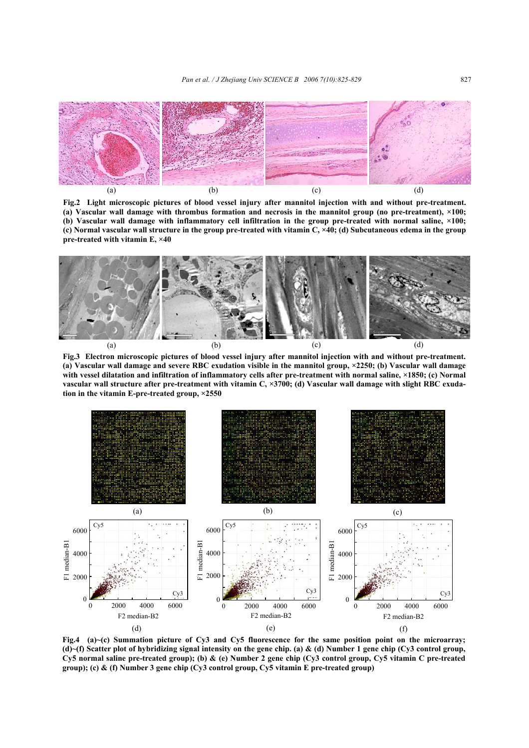

**Fig.2 Light microscopic pictures of blood vessel injury after mannitol injection with and without pre-treatment. (a) Vascular wall damage with thrombus formation and necrosis in the mannitol group (no pre-treatment), ×100; (b) Vascular wall damage with inflammatory cell infiltration in the group pre-treated with normal saline, ×100; (c) Normal vascular wall structure in the group pre-treated with vitamin C, ×40; (d) Subcutaneous edema in the group pre-treated with vitamin E, ×40** 



**Fig.3 Electron microscopic pictures of blood vessel injury after mannitol injection with and without pre-treatment. (a) Vascular wall damage and severe RBC exudation visible in the mannitol group, ×2250; (b) Vascular wall damage with vessel dilatation and infiltration of inflammatory cells after pre-treatment with normal saline, ×1850; (c) Normal vascular wall structure after pre-treatment with vitamin C, ×3700; (d) Vascular wall damage with slight RBC exudation in the vitamin E-pre-treated group, ×2550** 



**Fig.4 (a)~(c) Summation picture of Cy3 and Cy5 fluorescence for the same position point on the microarray; (d)~(f) Scatter plot of hybridizing signal intensity on the gene chip. (a) & (d) Number 1 gene chip (Cy3 control group, Cy5 normal saline pre-treated group); (b) & (e) Number 2 gene chip (Cy3 control group, Cy5 vitamin C pre-treated group); (c) & (f) Number 3 gene chip (Cy3 control group, Cy5 vitamin E pre-treated group)**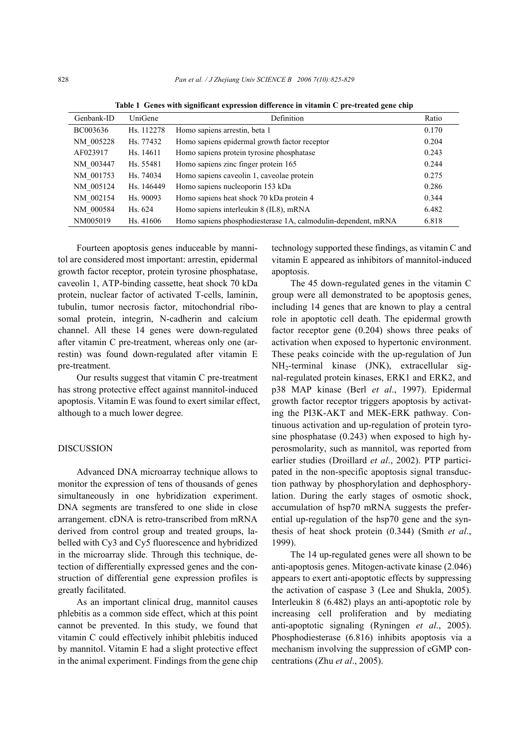| Genbank-ID | UniGene    | Definition                                                    | Ratio |
|------------|------------|---------------------------------------------------------------|-------|
| BC003636   | Hs. 112278 | Homo sapiens arrestin, beta 1                                 | 0.170 |
| NM 005228  | Hs. 77432  | Homo sapiens epidermal growth factor receptor                 | 0.204 |
| AF023917   | Hs. 14611  | Homo sapiens protein tyrosine phosphatase                     | 0.243 |
| NM 003447  | Hs. 55481  | Homo sapiens zinc finger protein 165                          | 0.244 |
| NM 001753  | Hs. 74034  | Homo sapiens caveolin 1, caveolae protein                     | 0.275 |
| NM 005124  | Hs. 146449 | Homo sapiens nucleoporin 153 kDa                              | 0.286 |
| NM 002154  | Hs. 90093  | Homo sapiens heat shock 70 kDa protein 4                      | 0.344 |
| NM 000584  | Hs. 624    | Homo sapiens interleukin 8 (IL8), mRNA                        | 6.482 |
| NM005019   | Hs. 41606  | Homo sapiens phosphodiesterase 1A, calmodulin-dependent, mRNA | 6.818 |

**Table 1 Genes with significant expression difference in vitamin C pre-treated gene chip** 

Fourteen apoptosis genes induceable by mannitol are considered most important: arrestin, epidermal growth factor receptor, protein tyrosine phosphatase, caveolin 1, ATP-binding cassette, heat shock 70 kDa protein, nuclear factor of activated T-cells, laminin, tubulin, tumor necrosis factor, mitochondrial ribosomal protein, integrin, N-cadherin and calcium channel. All these 14 genes were down-regulated after vitamin C pre-treatment, whereas only one (arrestin) was found down-regulated after vitamin E pre-treatment.

Our results suggest that vitamin C pre-treatment has strong protective effect against mannitol-induced apoptosis. Vitamin E was found to exert similar effect, although to a much lower degree.

### DISCUSSION

Advanced DNA microarray technique allows to monitor the expression of tens of thousands of genes simultaneously in one hybridization experiment. DNA segments are transfered to one slide in close arrangement. cDNA is retro-transcribed from mRNA derived from control group and treated groups, labelled with Cy3 and Cy5 fluorescence and hybridized in the microarray slide. Through this technique, detection of differentially expressed genes and the construction of differential gene expression profiles is greatly facilitated.

As an important clinical drug, mannitol causes phlebitis as a common side effect, which at this point cannot be prevented. In this study, we found that vitamin C could effectively inhibit phlebitis induced by mannitol. Vitamin E had a slight protective effect in the animal experiment. Findings from the gene chip

technology supported these findings, as vitamin C and vitamin E appeared as inhibitors of mannitol-induced apoptosis.

The 45 down-regulated genes in the vitamin C group were all demonstrated to be apoptosis genes, including 14 genes that are known to play a central role in apoptotic cell death. The epidermal growth factor receptor gene (0.204) shows three peaks of activation when exposed to hypertonic environment. These peaks coincide with the up-regulation of Jun NH2-terminal kinase (JNK), extracellular signal-regulated protein kinases, ERK1 and ERK2, and p38 MAP kinase (Berl *et al*., 1997). Epidermal growth factor receptor triggers apoptosis by activating the PI3K-AKT and MEK-ERK pathway. Continuous activation and up-regulation of protein tyrosine phosphatase (0.243) when exposed to high hyperosmolarity, such as mannitol, was reported from earlier studies (Droillard *et al*., 2002). PTP participated in the non-specific apoptosis signal transduction pathway by phosphorylation and dephosphorylation. During the early stages of osmotic shock, accumulation of hsp70 mRNA suggests the preferential up-regulation of the hsp70 gene and the synthesis of heat shock protein (0.344) (Smith *et al*., 1999).

The 14 up-regulated genes were all shown to be anti-apoptosis genes. Mitogen-activate kinase (2.046) appears to exert anti-apoptotic effects by suppressing the activation of caspase 3 (Lee and Shukla, 2005). Interleukin 8 (6.482) plays an anti-apoptotic role by increasing cell proliferation and by mediating anti-apoptotic signaling (Ryningen *et al*., 2005). Phosphodiesterase (6.816) inhibits apoptosis via a mechanism involving the suppression of cGMP concentrations (Zhu *et al*., 2005).